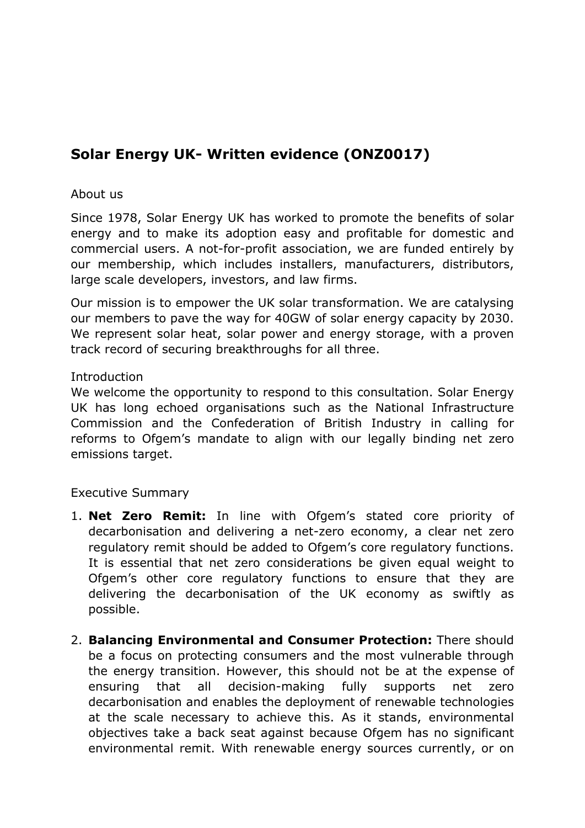# **Solar Energy UK- Written evidence (ONZ0017)**

#### About us

Since 1978, Solar Energy UK has worked to promote the benefits of solar energy and to make its adoption easy and profitable for domestic and commercial users. A not-for-profit association, we are funded entirely by our membership, which includes installers, manufacturers, distributors, large scale developers, investors, and law firms.

Our mission is to empower the UK solar transformation. We are catalysing our members to pave the way for 40GW of solar energy capacity by 2030. We represent solar heat, solar power and energy storage, with a proven track record of securing breakthroughs for all three.

#### **Introduction**

We welcome the opportunity to respond to this consultation. Solar Energy UK has long echoed organisations such as the National Infrastructure Commission and the Confederation of British Industry in calling for reforms to Ofgem's mandate to align with our legally binding net zero emissions target.

# Executive Summary

- 1. **Net Zero Remit:** In line with Ofgem's stated core priority of decarbonisation and delivering a net-zero economy, a clear net zero regulatory remit should be added to Ofgem's core regulatory functions. It is essential that net zero considerations be given equal weight to Ofgem's other core regulatory functions to ensure that they are delivering the decarbonisation of the UK economy as swiftly as possible.
- 2. **Balancing Environmental and Consumer Protection:** There should be a focus on protecting consumers and the most vulnerable through the energy transition. However, this should not be at the expense of ensuring that all decision-making fully supports net zero decarbonisation and enables the deployment of renewable technologies at the scale necessary to achieve this. As it stands, environmental objectives take a back seat against because Ofgem has no significant environmental remit. With renewable energy sources currently, or on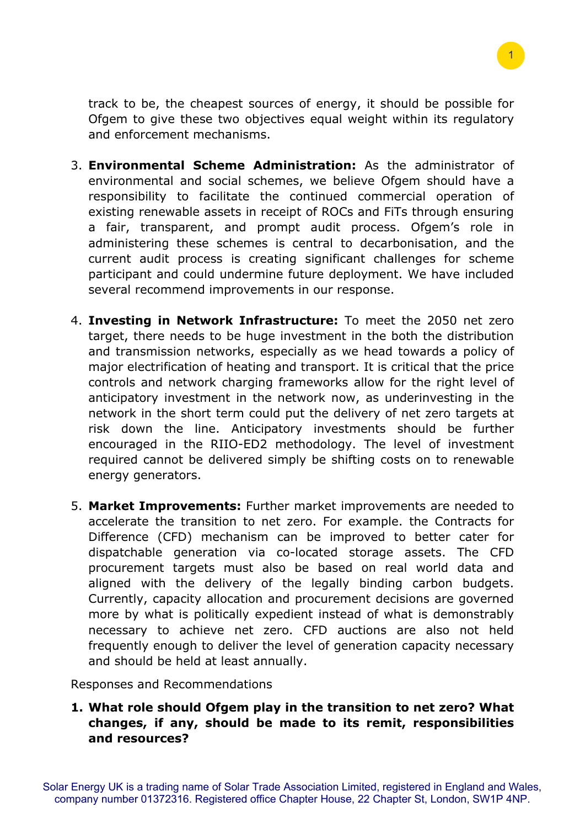

track to be, the cheapest sources of energy, it should be possible for Ofgem to give these two objectives equal weight within its regulatory and enforcement mechanisms.

- 3. **Environmental Scheme Administration:** As the administrator of environmental and social schemes, we believe Ofgem should have a responsibility to facilitate the continued commercial operation of existing renewable assets in receipt of ROCs and FiTs through ensuring a fair, transparent, and prompt audit process. Ofgem's role in administering these schemes is central to decarbonisation, and the current audit process is creating significant challenges for scheme participant and could undermine future deployment. We have included several recommend improvements in our response.
- 4. **Investing in Network Infrastructure:** To meet the 2050 net zero target, there needs to be huge investment in the both the distribution and transmission networks, especially as we head towards a policy of major electrification of heating and transport. It is critical that the price controls and network charging frameworks allow for the right level of anticipatory investment in the network now, as underinvesting in the network in the short term could put the delivery of net zero targets at risk down the line. Anticipatory investments should be further encouraged in the RIIO-ED2 methodology. The level of investment required cannot be delivered simply be shifting costs on to renewable energy generators.
- 5. **Market Improvements:** Further market improvements are needed to accelerate the transition to net zero. For example. the Contracts for Difference (CFD) mechanism can be improved to better cater for dispatchable generation via co-located storage assets. The CFD procurement targets must also be based on real world data and aligned with the delivery of the legally binding carbon budgets. Currently, capacity allocation and procurement decisions are governed more by what is politically expedient instead of what is demonstrably necessary to achieve net zero. CFD auctions are also not held frequently enough to deliver the level of generation capacity necessary and should be held at least annually.

Responses and Recommendations

**1. What role should Ofgem play in the transition to net zero? What changes, if any, should be made to its remit, responsibilities and resources?**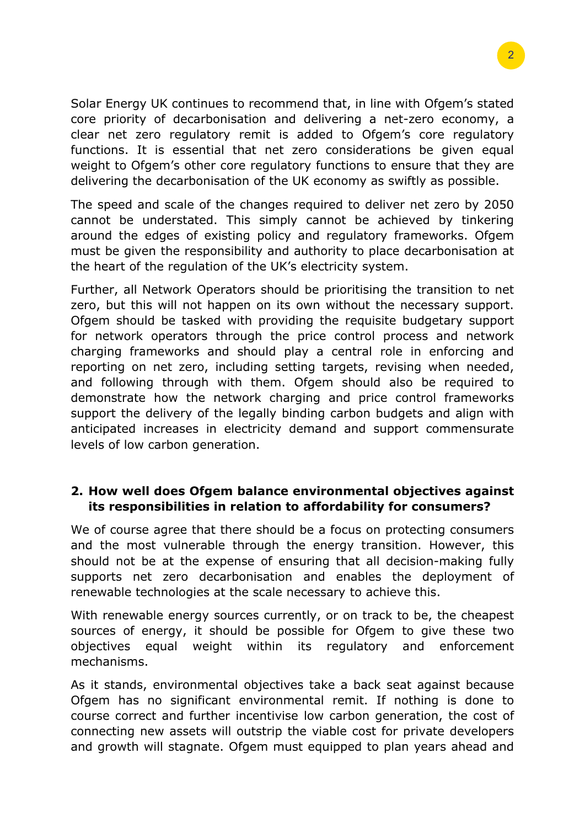Solar Energy UK continues to recommend that, in line with Ofgem's stated core priority of decarbonisation and delivering a net-zero economy, a clear net zero regulatory remit is added to Ofgem's core regulatory functions. It is essential that net zero considerations be given equal weight to Ofgem's other core regulatory functions to ensure that they are delivering the decarbonisation of the UK economy as swiftly as possible.

The speed and scale of the changes required to deliver net zero by 2050 cannot be understated. This simply cannot be achieved by tinkering around the edges of existing policy and regulatory frameworks. Ofgem must be given the responsibility and authority to place decarbonisation at the heart of the regulation of the UK's electricity system.

Further, all Network Operators should be prioritising the transition to net zero, but this will not happen on its own without the necessary support. Ofgem should be tasked with providing the requisite budgetary support for network operators through the price control process and network charging frameworks and should play a central role in enforcing and reporting on net zero, including setting targets, revising when needed, and following through with them. Ofgem should also be required to demonstrate how the network charging and price control frameworks support the delivery of the legally binding carbon budgets and align with anticipated increases in electricity demand and support commensurate levels of low carbon generation.

# **2. How well does Ofgem balance environmental objectives against its responsibilities in relation to affordability for consumers?**

We of course agree that there should be a focus on protecting consumers and the most vulnerable through the energy transition. However, this should not be at the expense of ensuring that all decision-making fully supports net zero decarbonisation and enables the deployment of renewable technologies at the scale necessary to achieve this.

With renewable energy sources currently, or on track to be, the cheapest sources of energy, it should be possible for Ofgem to give these two objectives equal weight within its regulatory and enforcement mechanisms.

As it stands, environmental objectives take a back seat against because Ofgem has no significant environmental remit. If nothing is done to course correct and further incentivise low carbon generation, the cost of connecting new assets will outstrip the viable cost for private developers and growth will stagnate. Ofgem must equipped to plan years ahead and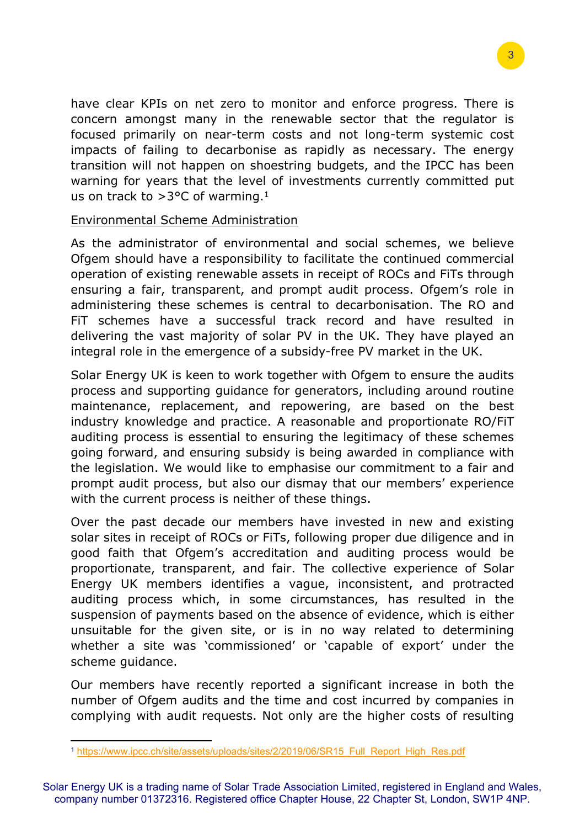have clear KPIs on net zero to monitor and enforce progress. There is concern amongst many in the renewable sector that the regulator is focused primarily on near-term costs and not long-term systemic cost impacts of failing to decarbonise as rapidly as necessary. The energy transition will not happen on shoestring budgets, and the IPCC has been warning for years that the level of investments currently committed put us on track to  $>3$ °C of warming.<sup>1</sup>

#### Environmental Scheme Administration

As the administrator of environmental and social schemes, we believe Ofgem should have a responsibility to facilitate the continued commercial operation of existing renewable assets in receipt of ROCs and FiTs through ensuring a fair, transparent, and prompt audit process. Ofgem's role in administering these schemes is central to decarbonisation. The RO and FiT schemes have a successful track record and have resulted in delivering the vast majority of solar PV in the UK. They have played an integral role in the emergence of a subsidy-free PV market in the UK.

Solar Energy UK is keen to work together with Ofgem to ensure the audits process and supporting guidance for generators, including around routine maintenance, replacement, and repowering, are based on the best industry knowledge and practice. A reasonable and proportionate RO/FiT auditing process is essential to ensuring the legitimacy of these schemes going forward, and ensuring subsidy is being awarded in compliance with the legislation. We would like to emphasise our commitment to a fair and prompt audit process, but also our dismay that our members' experience with the current process is neither of these things.

Over the past decade our members have invested in new and existing solar sites in receipt of ROCs or FiTs, following proper due diligence and in good faith that Ofgem's accreditation and auditing process would be proportionate, transparent, and fair. The collective experience of Solar Energy UK members identifies a vague, inconsistent, and protracted auditing process which, in some circumstances, has resulted in the suspension of payments based on the absence of evidence, which is either unsuitable for the given site, or is in no way related to determining whether a site was 'commissioned' or 'capable of export' under the scheme guidance.

Our members have recently reported a significant increase in both the number of Ofgem audits and the time and cost incurred by companies in complying with audit requests. Not only are the higher costs of resulting

Solar Energy UK is a trading name of Solar Trade Association Limited, registered in England and Wales, company number 01372316. Registered office Chapter House, 22 Chapter St, London, SW1P 4NP.

<sup>1</sup> [https://www.ipcc.ch/site/assets/uploads/sites/2/2019/06/SR15\\_Full\\_Report\\_High\\_Res.pdf](https://www.ipcc.ch/site/assets/uploads/sites/2/2019/06/SR15_Full_Report_High_Res.pdf)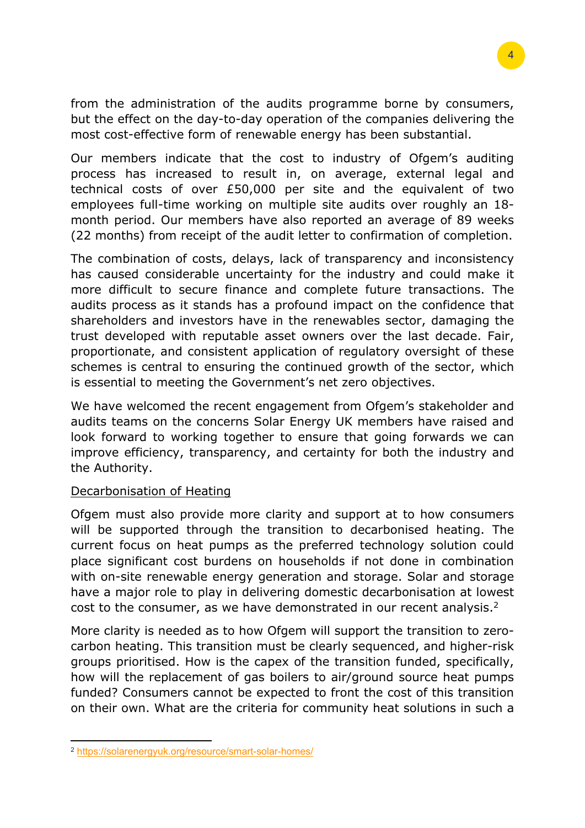from the administration of the audits programme borne by consumers, but the effect on the day-to-day operation of the companies delivering the most cost-effective form of renewable energy has been substantial.

Our members indicate that the cost to industry of Ofgem's auditing process has increased to result in, on average, external legal and technical costs of over £50,000 per site and the equivalent of two employees full-time working on multiple site audits over roughly an 18 month period. Our members have also reported an average of 89 weeks (22 months) from receipt of the audit letter to confirmation of completion.

The combination of costs, delays, lack of transparency and inconsistency has caused considerable uncertainty for the industry and could make it more difficult to secure finance and complete future transactions. The audits process as it stands has a profound impact on the confidence that shareholders and investors have in the renewables sector, damaging the trust developed with reputable asset owners over the last decade. Fair, proportionate, and consistent application of regulatory oversight of these schemes is central to ensuring the continued growth of the sector, which is essential to meeting the Government's net zero objectives.

We have welcomed the recent engagement from Ofgem's stakeholder and audits teams on the concerns Solar Energy UK members have raised and look forward to working together to ensure that going forwards we can improve efficiency, transparency, and certainty for both the industry and the Authority.

# Decarbonisation of Heating

Ofgem must also provide more clarity and support at to how consumers will be supported through the transition to decarbonised heating. The current focus on heat pumps as the preferred technology solution could place significant cost burdens on households if not done in combination with on-site renewable energy generation and storage. Solar and storage have a major role to play in delivering domestic decarbonisation at lowest cost to the consumer, as we have demonstrated in our recent analysis.<sup>2</sup>

More clarity is needed as to how Ofgem will support the transition to zerocarbon heating. This transition must be clearly sequenced, and higher-risk groups prioritised. How is the capex of the transition funded, specifically, how will the replacement of gas boilers to air/ground source heat pumps funded? Consumers cannot be expected to front the cost of this transition on their own. What are the criteria for community heat solutions in such a

<sup>2</sup> <https://solarenergyuk.org/resource/smart-solar-homes/>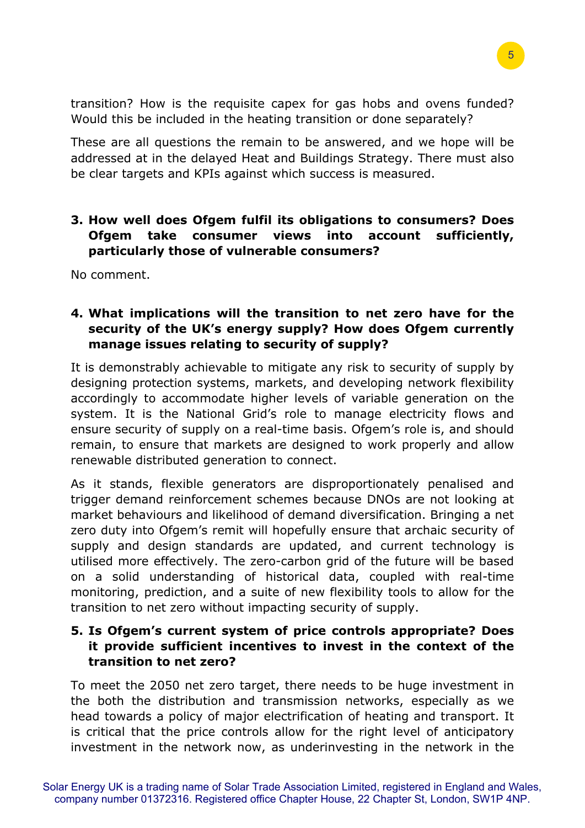transition? How is the requisite capex for gas hobs and ovens funded? Would this be included in the heating transition or done separately?

These are all questions the remain to be answered, and we hope will be addressed at in the delayed Heat and Buildings Strategy. There must also be clear targets and KPIs against which success is measured.

# **3. How well does Ofgem fulfil its obligations to consumers? Does Ofgem take consumer views into account sufficiently, particularly those of vulnerable consumers?**

No comment.

# **4. What implications will the transition to net zero have for the security of the UK's energy supply? How does Ofgem currently manage issues relating to security of supply?**

It is demonstrably achievable to mitigate any risk to security of supply by designing protection systems, markets, and developing network flexibility accordingly to accommodate higher levels of variable generation on the system. It is the National Grid's role to manage electricity flows and ensure security of supply on a real-time basis. Ofgem's role is, and should remain, to ensure that markets are designed to work properly and allow renewable distributed generation to connect.

As it stands, flexible generators are disproportionately penalised and trigger demand reinforcement schemes because DNOs are not looking at market behaviours and likelihood of demand diversification. Bringing a net zero duty into Ofgem's remit will hopefully ensure that archaic security of supply and design standards are updated, and current technology is utilised more effectively. The zero-carbon grid of the future will be based on a solid understanding of historical data, coupled with real-time monitoring, prediction, and a suite of new flexibility tools to allow for the transition to net zero without impacting security of supply.

# **5. Is Ofgem's current system of price controls appropriate? Does it provide sufficient incentives to invest in the context of the transition to net zero?**

To meet the 2050 net zero target, there needs to be huge investment in the both the distribution and transmission networks, especially as we head towards a policy of major electrification of heating and transport. It is critical that the price controls allow for the right level of anticipatory investment in the network now, as underinvesting in the network in the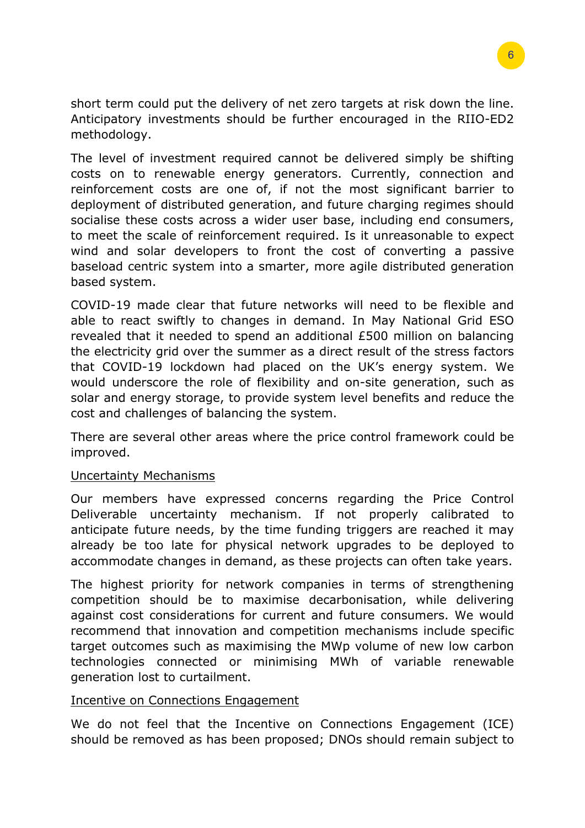6

short term could put the delivery of net zero targets at risk down the line. Anticipatory investments should be further encouraged in the RIIO-ED2 methodology.

The level of investment required cannot be delivered simply be shifting costs on to renewable energy generators. Currently, connection and reinforcement costs are one of, if not the most significant barrier to deployment of distributed generation, and future charging regimes should socialise these costs across a wider user base, including end consumers, to meet the scale of reinforcement required. Is it unreasonable to expect wind and solar developers to front the cost of converting a passive baseload centric system into a smarter, more agile distributed generation based system.

COVID-19 made clear that future networks will need to be flexible and able to react swiftly to changes in demand. In May National Grid ESO revealed that it needed to spend an additional £500 million on balancing the electricity grid over the summer as a direct result of the stress factors that COVID-19 lockdown had placed on the UK's energy system. We would underscore the role of flexibility and on-site generation, such as solar and energy storage, to provide system level benefits and reduce the cost and challenges of balancing the system.

There are several other areas where the price control framework could be improved.

# Uncertainty Mechanisms

Our members have expressed concerns regarding the Price Control Deliverable uncertainty mechanism. If not properly calibrated to anticipate future needs, by the time funding triggers are reached it may already be too late for physical network upgrades to be deployed to accommodate changes in demand, as these projects can often take years.

The highest priority for network companies in terms of strengthening competition should be to maximise decarbonisation, while delivering against cost considerations for current and future consumers. We would recommend that innovation and competition mechanisms include specific target outcomes such as maximising the MWp volume of new low carbon technologies connected or minimising MWh of variable renewable generation lost to curtailment.

# Incentive on Connections Engagement

We do not feel that the Incentive on Connections Engagement (ICE) should be removed as has been proposed; DNOs should remain subject to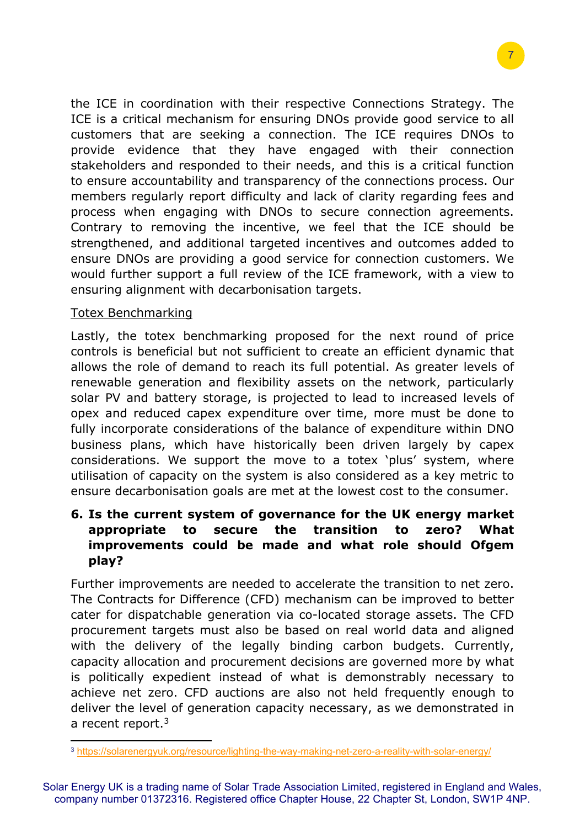the ICE in coordination with their respective Connections Strategy. The ICE is a critical mechanism for ensuring DNOs provide good service to all customers that are seeking a connection. The ICE requires DNOs to provide evidence that they have engaged with their connection stakeholders and responded to their needs, and this is a critical function to ensure accountability and transparency of the connections process. Our members regularly report difficulty and lack of clarity regarding fees and process when engaging with DNOs to secure connection agreements. Contrary to removing the incentive, we feel that the ICE should be strengthened, and additional targeted incentives and outcomes added to ensure DNOs are providing a good service for connection customers. We would further support a full review of the ICE framework, with a view to ensuring alignment with decarbonisation targets.

#### Totex Benchmarking

Lastly, the totex benchmarking proposed for the next round of price controls is beneficial but not sufficient to create an efficient dynamic that allows the role of demand to reach its full potential. As greater levels of renewable generation and flexibility assets on the network, particularly solar PV and battery storage, is projected to lead to increased levels of opex and reduced capex expenditure over time, more must be done to fully incorporate considerations of the balance of expenditure within DNO business plans, which have historically been driven largely by capex considerations. We support the move to a totex 'plus' system, where utilisation of capacity on the system is also considered as a key metric to ensure decarbonisation goals are met at the lowest cost to the consumer.

# **6. Is the current system of governance for the UK energy market appropriate to secure the transition to zero? What improvements could be made and what role should Ofgem play?**

Further improvements are needed to accelerate the transition to net zero. The Contracts for Difference (CFD) mechanism can be improved to better cater for dispatchable generation via co-located storage assets. The CFD procurement targets must also be based on real world data and aligned with the delivery of the legally binding carbon budgets. Currently, capacity allocation and procurement decisions are governed more by what is politically expedient instead of what is demonstrably necessary to achieve net zero. CFD auctions are also not held frequently enough to deliver the level of generation capacity necessary, as we demonstrated in a recent report.<sup>3</sup>

Solar Energy UK is a trading name of Solar Trade Association Limited, registered in England and Wales, company number 01372316. Registered office Chapter House, 22 Chapter St, London, SW1P 4NP.

<sup>3</sup> <https://solarenergyuk.org/resource/lighting-the-way-making-net-zero-a-reality-with-solar-energy/>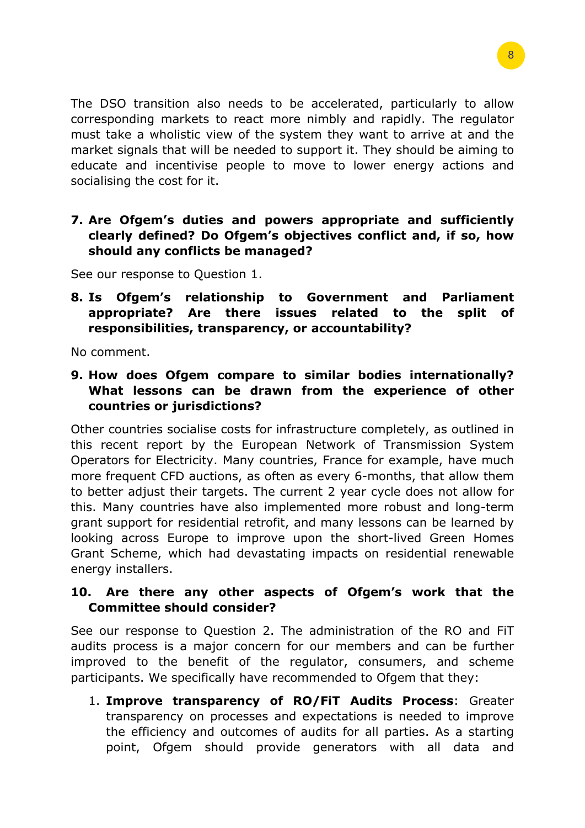The DSO transition also needs to be accelerated, particularly to allow corresponding markets to react more nimbly and rapidly. The regulator must take a wholistic view of the system they want to arrive at and the market signals that will be needed to support it. They should be aiming to educate and incentivise people to move to lower energy actions and socialising the cost for it.

**7. Are Ofgem's duties and powers appropriate and sufficiently clearly defined? Do Ofgem's objectives conflict and, if so, how should any conflicts be managed?**

See our response to Question 1.

**8. Is Ofgem's relationship to Government and Parliament appropriate? Are there issues related to the split of responsibilities, transparency, or accountability?**

No comment.

**9. How does Ofgem compare to similar bodies internationally? What lessons can be drawn from the experience of other countries or jurisdictions?**

Other countries socialise costs for infrastructure completely, as outlined in this recent report by the European Network of Transmission System Operators for Electricity. Many countries, France for example, have much more frequent CFD auctions, as often as every 6-months, that allow them to better adjust their targets. The current 2 year cycle does not allow for this. Many countries have also implemented more robust and long-term grant support for residential retrofit, and many lessons can be learned by looking across Europe to improve upon the short-lived Green Homes Grant Scheme, which had devastating impacts on residential renewable energy installers.

# **10. Are there any other aspects of Ofgem's work that the Committee should consider?**

See our response to Question 2. The administration of the RO and FiT audits process is a major concern for our members and can be further improved to the benefit of the regulator, consumers, and scheme participants. We specifically have recommended to Ofgem that they:

1. **Improve transparency of RO/FiT Audits Process**: Greater transparency on processes and expectations is needed to improve the efficiency and outcomes of audits for all parties. As a starting point, Ofgem should provide generators with all data and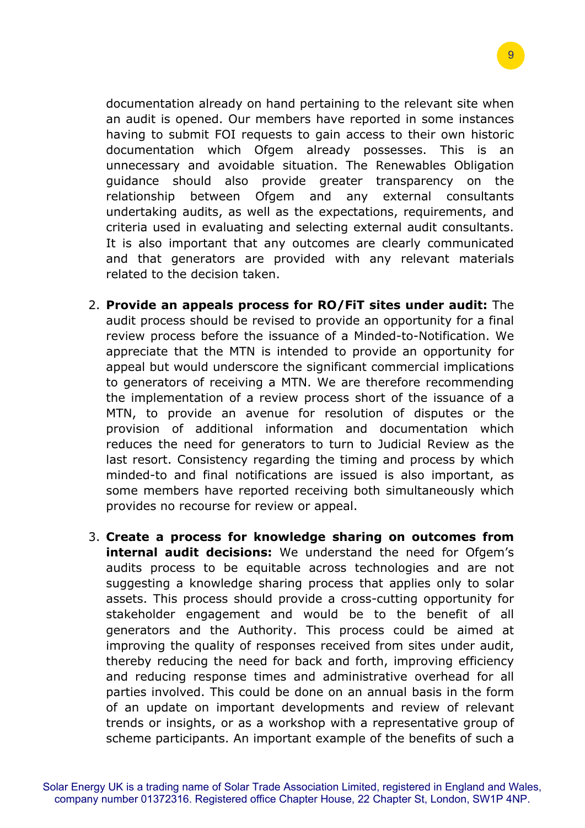documentation already on hand pertaining to the relevant site when an audit is opened. Our members have reported in some instances having to submit FOI requests to gain access to their own historic documentation which Ofgem already possesses. This is an unnecessary and avoidable situation. The Renewables Obligation guidance should also provide greater transparency on the relationship between Ofgem and any external consultants undertaking audits, as well as the expectations, requirements, and criteria used in evaluating and selecting external audit consultants. It is also important that any outcomes are clearly communicated and that generators are provided with any relevant materials related to the decision taken.

- 2. **Provide an appeals process for RO/FiT sites under audit:** The audit process should be revised to provide an opportunity for a final review process before the issuance of a Minded-to-Notification. We appreciate that the MTN is intended to provide an opportunity for appeal but would underscore the significant commercial implications to generators of receiving a MTN. We are therefore recommending the implementation of a review process short of the issuance of a MTN, to provide an avenue for resolution of disputes or the provision of additional information and documentation which reduces the need for generators to turn to Judicial Review as the last resort. Consistency regarding the timing and process by which minded-to and final notifications are issued is also important, as some members have reported receiving both simultaneously which provides no recourse for review or appeal.
- 3. **Create a process for knowledge sharing on outcomes from internal audit decisions:** We understand the need for Ofgem's audits process to be equitable across technologies and are not suggesting a knowledge sharing process that applies only to solar assets. This process should provide a cross-cutting opportunity for stakeholder engagement and would be to the benefit of all generators and the Authority. This process could be aimed at improving the quality of responses received from sites under audit, thereby reducing the need for back and forth, improving efficiency and reducing response times and administrative overhead for all parties involved. This could be done on an annual basis in the form of an update on important developments and review of relevant trends or insights, or as a workshop with a representative group of scheme participants. An important example of the benefits of such a